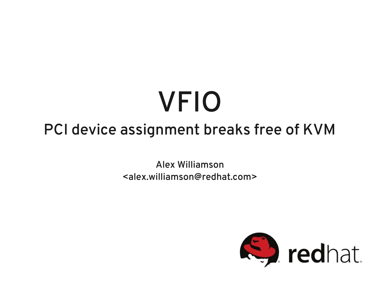#### VFIO PCI device assignment breaks free of KVM

Alex Williamson <alex.williamson@redhat.com>

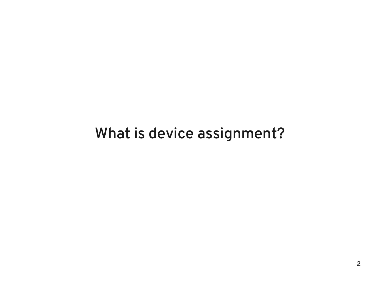#### What is device assignment?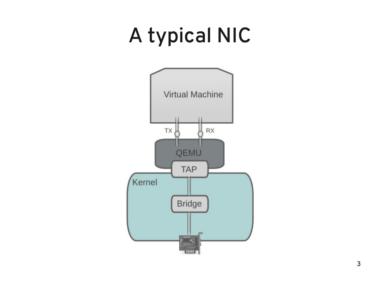# A typical NIC

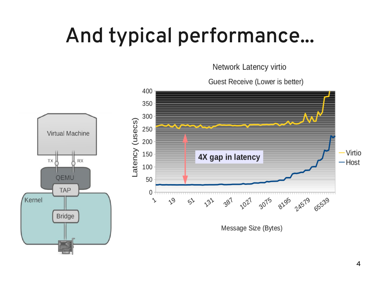### And typical performance...

Network Latency virtio

Guest Receive (Lower is better)

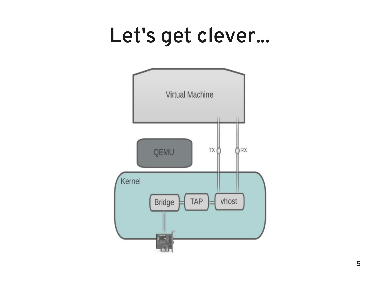#### Let's get clever...

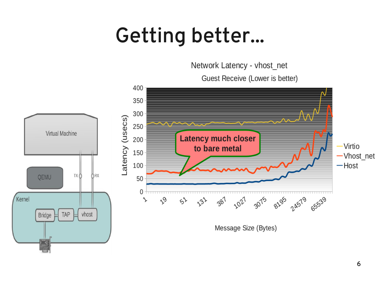### Getting better...

Network Latency - vhost\_net

Guest Receive (Lower is better)

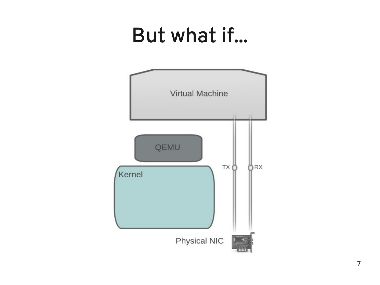#### But what if...

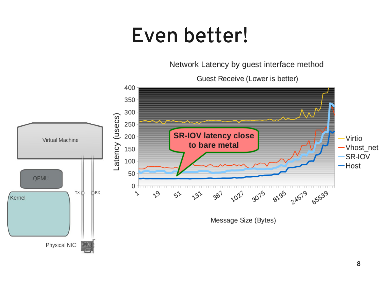#### Even better!

Network Latency by guest interface method

Guest Receive (Lower is better)

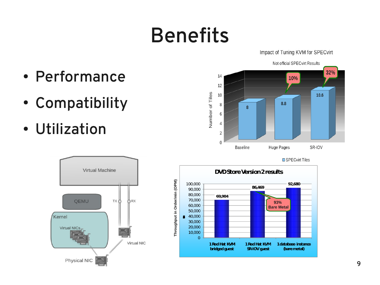### Benefits

Impact of Tuning KVM for SPECvirt

- Performance
- Compatibility
- Utilization







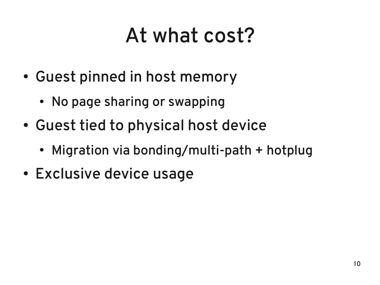# At what cost?

- Guest pinned in host memory
	- No page sharing or swapping
- Guest tied to physical host device
	- Migration via bonding/multi-path + hotplug
- Exclusive device usage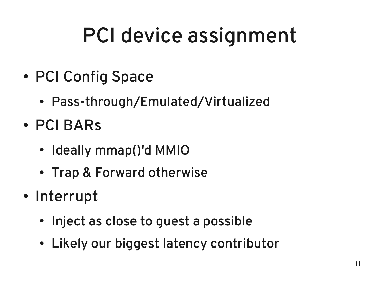# PCI device assignment

- PCI Config Space
	- Pass-through/Emulated/Virtualized
- PCI BARs
	- Ideally mmap()'d MMIO
	- Trap & Forward otherwise
- Interrupt
	- Inject as close to quest a possible
	- Likely our biggest latency contributor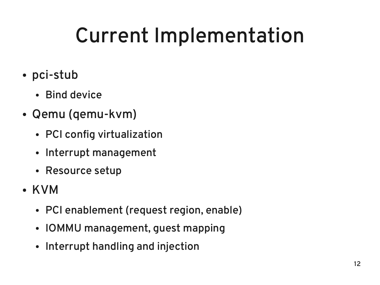# Current Implementation

- pci-stub
	- Bind device
- Qemu (qemu-kvm)
	- PCI config virtualization
	- Interrupt management
	- Resource setup
- KVM
	- PCI enablement (request region, enable)
	- IOMMU management, guest mapping
	- Interrupt handling and injection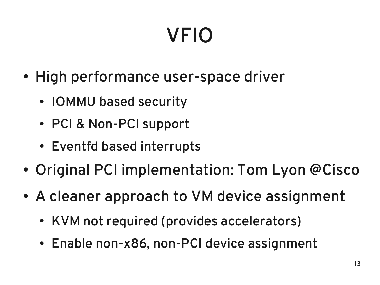# VFIO

- High performance user-space driver
	- IOMMU based security
	- PCI & Non-PCI support
	- Eventfd based interrupts
- Original PCI implementation: Tom Lyon @Cisco
- A cleaner approach to VM device assignment
	- KVM not required (provides accelerators)
	- Enable non-x86, non-PCI device assignment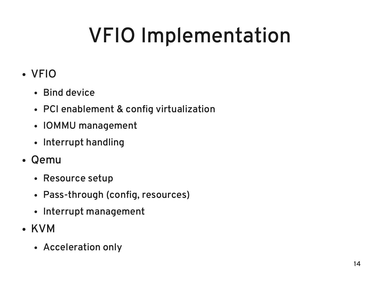# VFIO Implementation

#### • VFIO

- Bind device
- PCI enablement & config virtualization
- IOMMU management
- Interrupt handling
- Qemu
	- Resource setup
	- Pass-through (config, resources)
	- Interrupt management
- KVM
	- Acceleration only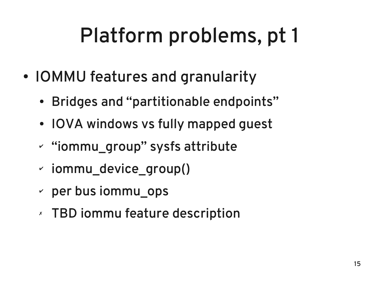# Platform problems, pt 1

- IOMMU features and granularity
	- Bridges and "partitionable endpoints"
	- IOVA windows vs fully mapped quest
	- ✔ "iommu\_group" sysfs attribute
	- ✔ iommu\_device\_group()
	- $\sim$  per bus iommu $\;$  ops
	- ✗ TBD iommu feature description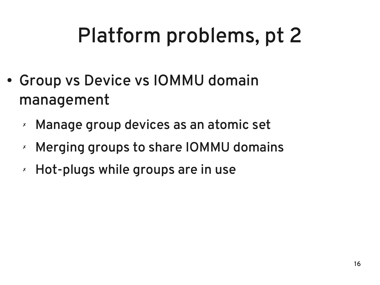# Platform problems, pt 2

- Group vs Device vs IOMMU domain management
	- ✗ Manage group devices as an atomic set
	- ✗ Merging groups to share IOMMU domains
	- ✗ Hot-plugs while groups are in use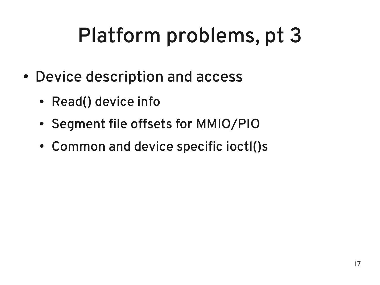# Platform problems, pt 3

- Device description and access
	- Read() device info
	- Segment file offsets for MMIO/PIO
	- Common and device specific ioctl()s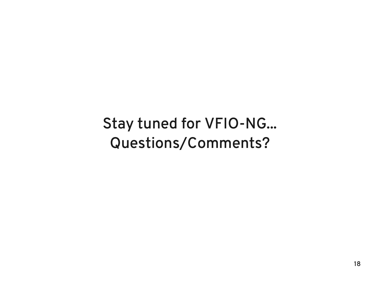#### Stay tuned for VFIO-NG... Questions/Comments?